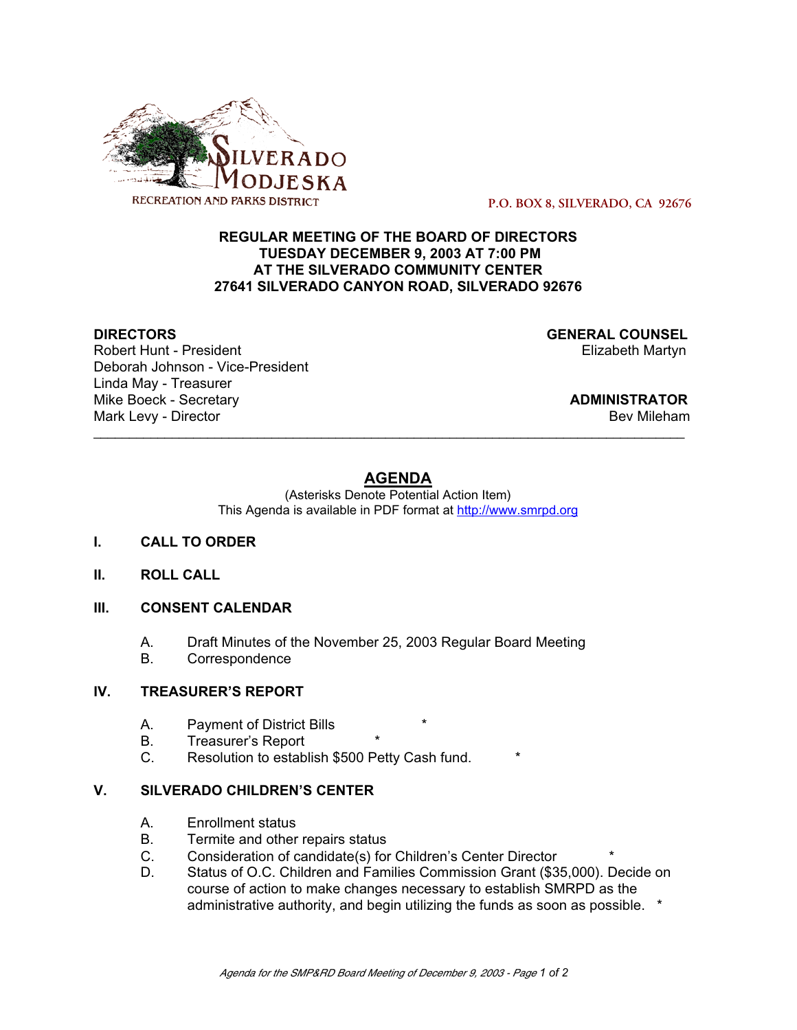

 **P.O. BOX 8, SILVERADO, CA 92676**

#### **REGULAR MEETING OF THE BOARD OF DIRECTORS TUESDAY DECEMBER 9, 2003 AT 7:00 PM AT THE SILVERADO COMMUNITY CENTER 27641 SILVERADO CANYON ROAD, SILVERADO 92676**

Robert Hunt - President Deborah Johnson - Vice-President Linda May - Treasurer Mike Boeck - Secretary **ADMINISTRATOR** Mark Levy - Director **Bev Mileham** Controller and the vertical state of the vertical state of the vertical state of the vertical state of the vertical state of the vertical state of the vertical state of the vertical state

**DIRECTORS**<br>
Robert Hunt - President<br>
Robert Hunt - President

## **AGENDA**

\_\_\_\_\_\_\_\_\_\_\_\_\_\_\_\_\_\_\_\_\_\_\_\_\_\_\_\_\_\_\_\_\_\_\_\_\_\_\_\_\_\_\_\_\_\_\_\_\_\_\_\_\_\_\_\_\_\_\_\_\_\_\_\_\_\_\_\_\_\_\_\_\_\_\_\_\_\_\_\_\_\_\_

(Asterisks Denote Potential Action Item) This Agenda is available in PDF format at http://www.smrpd.org

- **I. CALL TO ORDER**
- **II. ROLL CALL**
- **III. CONSENT CALENDAR**
	- A. Draft Minutes of the November 25, 2003 Regular Board Meeting
	- B. Correspondence

#### **IV. TREASURER'S REPORT**

- A. Payment of District Bills
- B. Treasurer's Report
- C. Resolution to establish \$500 Petty Cash fund. \*

#### **V. SILVERADO CHILDREN'S CENTER**

- A. Enrollment status
- B. Termite and other repairs status
- C. Consideration of candidate(s) for Children's Center Director<br>D. Status of O.C. Children and Families Commission Grant (\$3
- Status of O.C. Children and Families Commission Grant (\$35,000). Decide on course of action to make changes necessary to establish SMRPD as the administrative authority, and begin utilizing the funds as soon as possible. \*